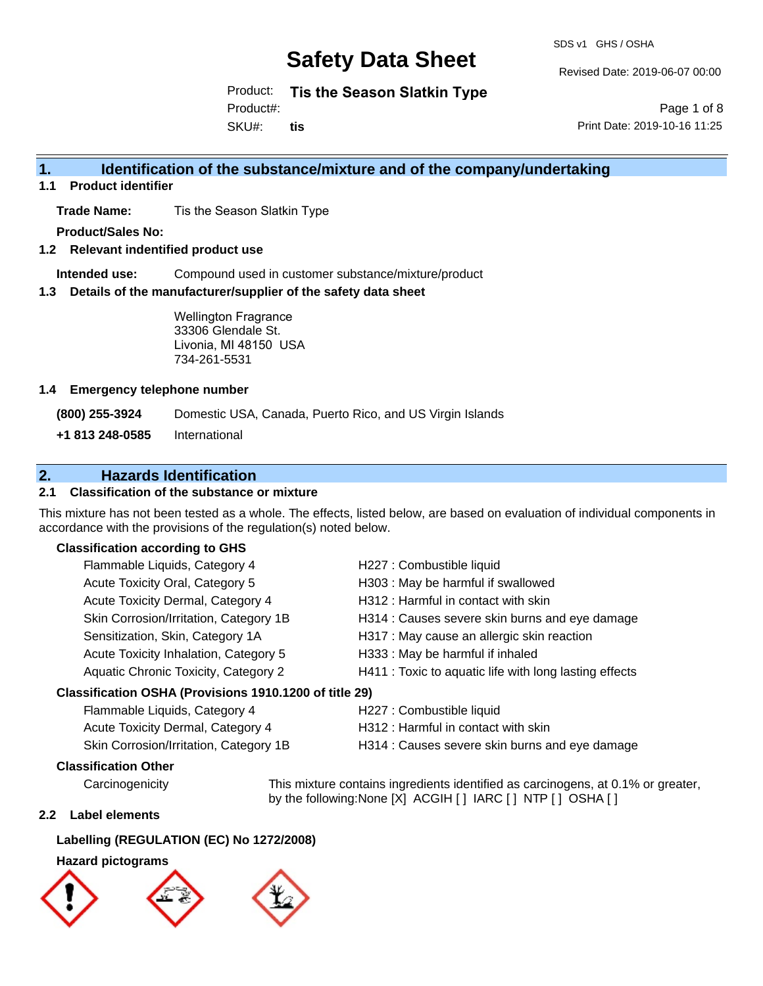SDS v1 GHS / OSHA

Revised Date: 2019-06-07 00:00

Product: **Tis the Season Slatkin Type**

Product#:

SKU#: **tis**

Page 1 of 8 Print Date: 2019-10-16 11:25

### **1. Identification of the substance/mixture and of the company/undertaking**

**1.1 Product identifier**

**Trade Name:** Tis the Season Slatkin Type

**Product/Sales No:**

**1.2 Relevant indentified product use**

**Intended use:** Compound used in customer substance/mixture/product

**1.3 Details of the manufacturer/supplier of the safety data sheet**

Wellington Fragrance 33306 Glendale St. Livonia, MI 48150 USA 734-261-5531

#### **1.4 Emergency telephone number**

**(800) 255-3924** Domestic USA, Canada, Puerto Rico, and US Virgin Islands

**+1 813 248-0585** International

### **2. Hazards Identification**

#### **2.1 Classification of the substance or mixture**

This mixture has not been tested as a whole. The effects, listed below, are based on evaluation of individual components in accordance with the provisions of the regulation(s) noted below.

#### **Classification according to GHS**

| Flammable Liquids, Category 4                          | H227 : Combustible liquid                              |
|--------------------------------------------------------|--------------------------------------------------------|
| Acute Toxicity Oral, Category 5                        | H303 : May be harmful if swallowed                     |
| Acute Toxicity Dermal, Category 4                      | H312: Harmful in contact with skin                     |
| Skin Corrosion/Irritation, Category 1B                 | H314 : Causes severe skin burns and eye damage         |
| Sensitization, Skin, Category 1A                       | H317 : May cause an allergic skin reaction             |
| Acute Toxicity Inhalation, Category 5                  | H333: May be harmful if inhaled                        |
| Aquatic Chronic Toxicity, Category 2                   | H411 : Toxic to aquatic life with long lasting effects |
| Classification OSHA (Provisions 1910.1200 of title 29) |                                                        |

## Flammable Liquids, Category 4 H227 : Combustible liquid

Acute Toxicity Dermal, Category 4 **H312** : Harmful in contact with skin

- 
- Skin Corrosion/Irritation, Category 1B H314 : Causes severe skin burns and eye damage

### **Classification Other**

Carcinogenicity This mixture contains ingredients identified as carcinogens, at 0.1% or greater, by the following:None [X] ACGIH [ ] IARC [ ] NTP [ ] OSHA [ ]

#### **2.2 Label elements**

## **Labelling (REGULATION (EC) No 1272/2008)**

## **Hazard pictograms**

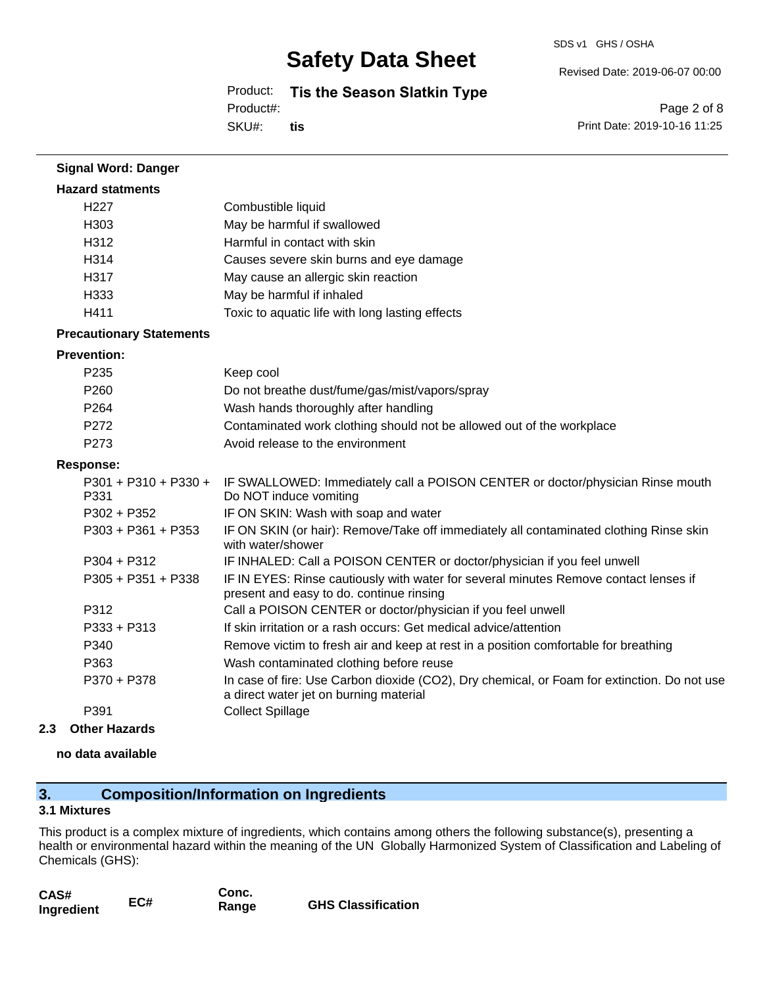#### SDS v1 GHS / OSHA

## **Safety Data Sheet**

Product: **Tis the Season Slatkin Type** Product#:

SKU#: **tis** Page 2 of 8

Revised Date: 2019-06-07 00:00

Print Date: 2019-10-16 11:25

| <b>Signal Word: Danger</b>      |                                                                                                                                       |
|---------------------------------|---------------------------------------------------------------------------------------------------------------------------------------|
| <b>Hazard statments</b>         |                                                                                                                                       |
| H <sub>227</sub>                | Combustible liquid                                                                                                                    |
| H303                            | May be harmful if swallowed                                                                                                           |
| H312                            | Harmful in contact with skin                                                                                                          |
| H314                            | Causes severe skin burns and eye damage                                                                                               |
| H317                            | May cause an allergic skin reaction                                                                                                   |
| H333                            | May be harmful if inhaled                                                                                                             |
| H411                            | Toxic to aquatic life with long lasting effects                                                                                       |
| <b>Precautionary Statements</b> |                                                                                                                                       |
| <b>Prevention:</b>              |                                                                                                                                       |
| P <sub>235</sub>                | Keep cool                                                                                                                             |
| P260                            | Do not breathe dust/fume/gas/mist/vapors/spray                                                                                        |
| P264                            | Wash hands thoroughly after handling                                                                                                  |
| P272                            | Contaminated work clothing should not be allowed out of the workplace                                                                 |
| P273                            | Avoid release to the environment                                                                                                      |
| <b>Response:</b>                |                                                                                                                                       |
| $P301 + P310 + P330 +$<br>P331  | IF SWALLOWED: Immediately call a POISON CENTER or doctor/physician Rinse mouth<br>Do NOT induce vomiting                              |
| P302 + P352                     | IF ON SKIN: Wash with soap and water                                                                                                  |
| $P303 + P361 + P353$            | IF ON SKIN (or hair): Remove/Take off immediately all contaminated clothing Rinse skin<br>with water/shower                           |
| $P304 + P312$                   | IF INHALED: Call a POISON CENTER or doctor/physician if you feel unwell                                                               |
| P305 + P351 + P338              | IF IN EYES: Rinse cautiously with water for several minutes Remove contact lenses if<br>present and easy to do. continue rinsing      |
| P312                            | Call a POISON CENTER or doctor/physician if you feel unwell                                                                           |
| $P333 + P313$                   | If skin irritation or a rash occurs: Get medical advice/attention                                                                     |
| P340                            | Remove victim to fresh air and keep at rest in a position comfortable for breathing                                                   |
| P363                            | Wash contaminated clothing before reuse                                                                                               |
| P370 + P378                     | In case of fire: Use Carbon dioxide (CO2), Dry chemical, or Foam for extinction. Do not use<br>a direct water jet on burning material |
| P391                            | <b>Collect Spillage</b>                                                                                                               |

#### **2.3 Other Hazards**

#### **no data available**

## **3. Composition/Information on Ingredients**

### **3.1 Mixtures**

This product is a complex mixture of ingredients, which contains among others the following substance(s), presenting a health or environmental hazard within the meaning of the UN Globally Harmonized System of Classification and Labeling of Chemicals (GHS):

| CAS#       |     | Conc. |                           |
|------------|-----|-------|---------------------------|
| Ingredient | EC# | Range | <b>GHS Classification</b> |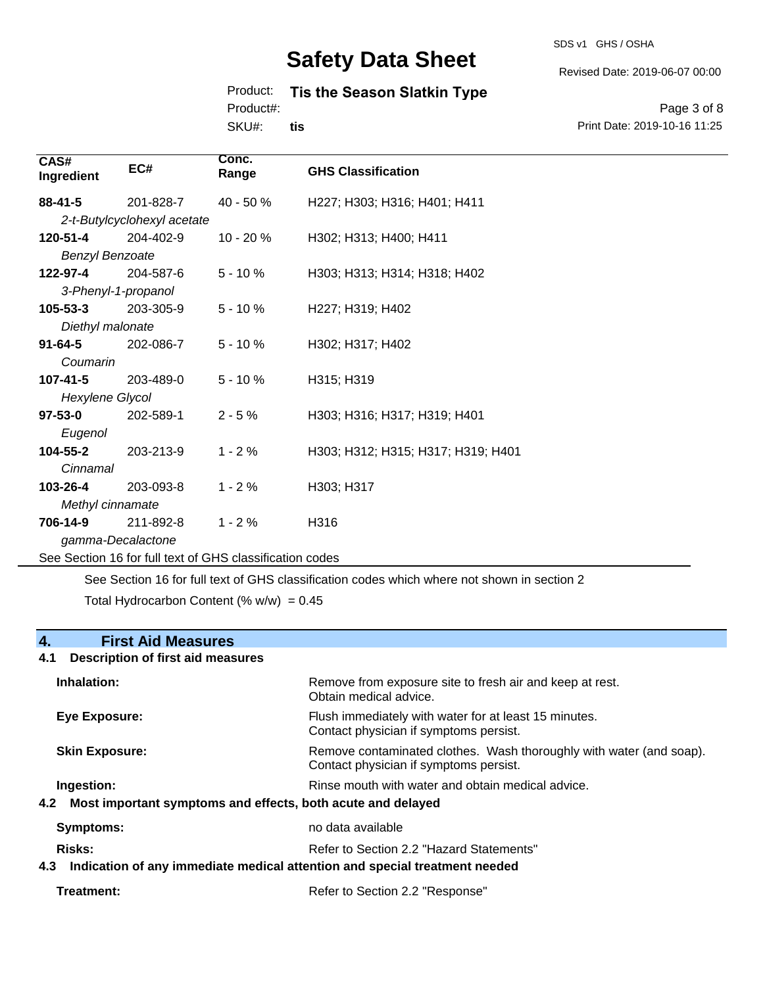#### SDS v1 GHS / OSHA

## **Safety Data Sheet**

#### Product: **Tis the Season Slatkin Type**

Product#:

SKU#: **tis**

Page 3 of 8 Print Date: 2019-10-16 11:25

Revised Date: 2019-06-07 00:00

| CAS#<br>Ingredient     | EC#                                                      | Conc.<br>Range | <b>GHS Classification</b>          |
|------------------------|----------------------------------------------------------|----------------|------------------------------------|
| $88 - 41 - 5$          | 201-828-7                                                | 40 - 50 %      | H227; H303; H316; H401; H411       |
|                        | 2-t-Butylcyclohexyl acetate                              |                |                                    |
| 120-51-4               | 204-402-9                                                | $10 - 20%$     | H302; H313; H400; H411             |
| <b>Benzyl Benzoate</b> |                                                          |                |                                    |
| 122-97-4               | 204-587-6                                                | $5 - 10%$      | H303; H313; H314; H318; H402       |
| 3-Phenyl-1-propanol    |                                                          |                |                                    |
| $105 - 53 - 3$         | 203-305-9                                                | $5 - 10%$      | H227; H319; H402                   |
| Diethyl malonate       |                                                          |                |                                    |
| $91 - 64 - 5$          | 202-086-7                                                | $5 - 10%$      | H302; H317; H402                   |
| Coumarin               |                                                          |                |                                    |
| $107 - 41 - 5$         | 203-489-0                                                | $5 - 10%$      | H315; H319                         |
| Hexylene Glycol        |                                                          |                |                                    |
| $97 - 53 - 0$          | 202-589-1                                                | $2 - 5%$       | H303; H316; H317; H319; H401       |
| Eugenol                |                                                          |                |                                    |
| 104-55-2               | 203-213-9                                                | $1 - 2%$       | H303; H312; H315; H317; H319; H401 |
| Cinnamal               |                                                          |                |                                    |
| 103-26-4               | 203-093-8                                                | $1 - 2%$       | H303; H317                         |
| Methyl cinnamate       |                                                          |                |                                    |
| 706-14-9               | 211-892-8                                                | $1 - 2%$       | H316                               |
| gamma-Decalactone      |                                                          |                |                                    |
|                        | See Section 16 for full text of GHS classification codes |                |                                    |

See Section 16 for full text of GHS classification codes which where not shown in section 2

Total Hydrocarbon Content (%  $w/w$ ) = 0.45

### **4. First Aid Measures**

## **4.1 Description of first aid measures Inhalation:** Remove from exposure site to fresh air and keep at rest. Obtain medical advice. **Eye Exposure:** FIUSh immediately with water for at least 15 minutes. Contact physician if symptoms persist. **Skin Exposure: Remove contaminated clothes. Wash thoroughly with water (and soap).** Remove contaminated clothes. Wash thoroughly with water (and soap). Contact physician if symptoms persist. **Ingestion: Rinse mouth with water and obtain medical advice. In all of the state of the Ringestian Medical advice. 4.2 Most important symptoms and effects, both acute and delayed Symptoms:** no data available Risks: **Risks:** Refer to Section 2.2 "Hazard Statements" **4.3 Indication of any immediate medical attention and special treatment needed**

| Treatment: | Refer to Section 2.2 "Response" |
|------------|---------------------------------|
|------------|---------------------------------|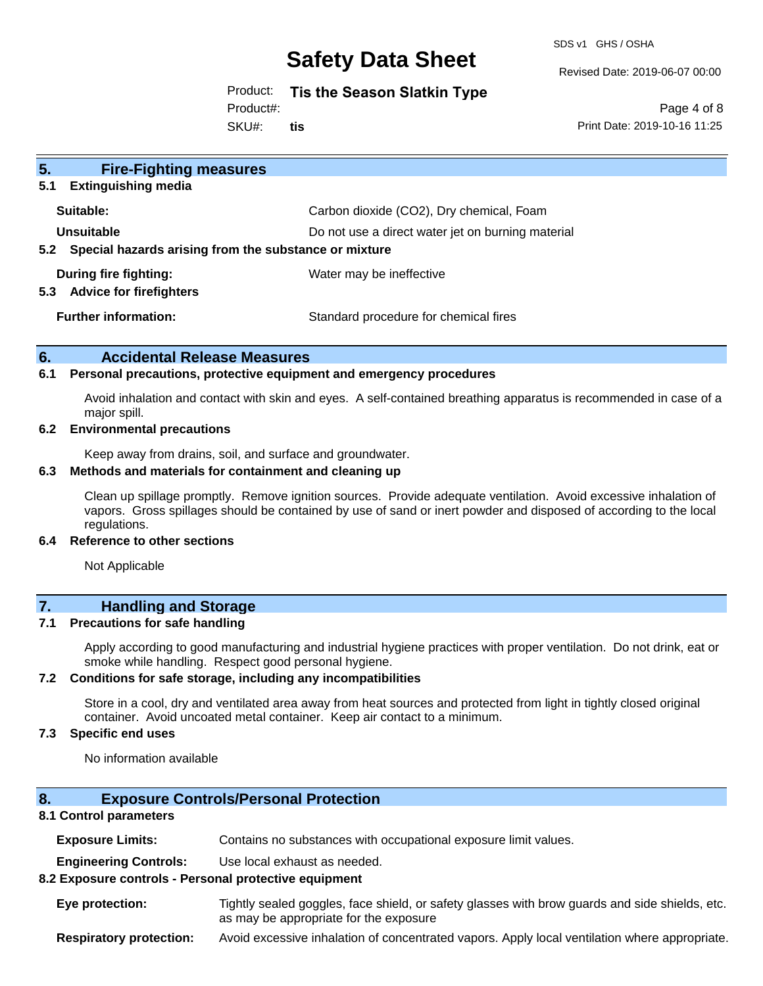SDS v1 GHS / OSHA

Revised Date: 2019-06-07 00:00

Product: **Tis the Season Slatkin Type**

Product#:

SKU#: **tis**

Page 4 of 8 Print Date: 2019-10-16 11:25

| 5 <sub>1</sub><br><b>Fire-Fighting measures</b><br><b>Extinguishing media</b><br>5.1 |                                                   |
|--------------------------------------------------------------------------------------|---------------------------------------------------|
| Suitable:                                                                            | Carbon dioxide (CO2), Dry chemical, Foam          |
| Unsuitable<br>Special hazards arising from the substance or mixture<br>5.2           | Do not use a direct water jet on burning material |
| During fire fighting:<br><b>Advice for firefighters</b><br>5.3                       | Water may be ineffective                          |
| <b>Further information:</b>                                                          | Standard procedure for chemical fires             |

#### **6. Accidental Release Measures**

#### **6.1 Personal precautions, protective equipment and emergency procedures**

Avoid inhalation and contact with skin and eyes. A self-contained breathing apparatus is recommended in case of a major spill.

#### **6.2 Environmental precautions**

Keep away from drains, soil, and surface and groundwater.

#### **6.3 Methods and materials for containment and cleaning up**

Clean up spillage promptly. Remove ignition sources. Provide adequate ventilation. Avoid excessive inhalation of vapors. Gross spillages should be contained by use of sand or inert powder and disposed of according to the local regulations.

#### **6.4 Reference to other sections**

Not Applicable

### **7. Handling and Storage**

#### **7.1 Precautions for safe handling**

Apply according to good manufacturing and industrial hygiene practices with proper ventilation. Do not drink, eat or smoke while handling. Respect good personal hygiene.

#### **7.2 Conditions for safe storage, including any incompatibilities**

Store in a cool, dry and ventilated area away from heat sources and protected from light in tightly closed original container. Avoid uncoated metal container. Keep air contact to a minimum.

#### **7.3 Specific end uses**

No information available

#### **8. Exposure Controls/Personal Protection**

#### **8.1 Control parameters**

**Exposure Limits:** Contains no substances with occupational exposure limit values.

**Engineering Controls:** Use local exhaust as needed.

#### **8.2 Exposure controls - Personal protective equipment**

**Eye protection:** Tightly sealed goggles, face shield, or safety glasses with brow guards and side shields, etc. as may be appropriate for the exposure

**Respiratory protection:** Avoid excessive inhalation of concentrated vapors. Apply local ventilation where appropriate.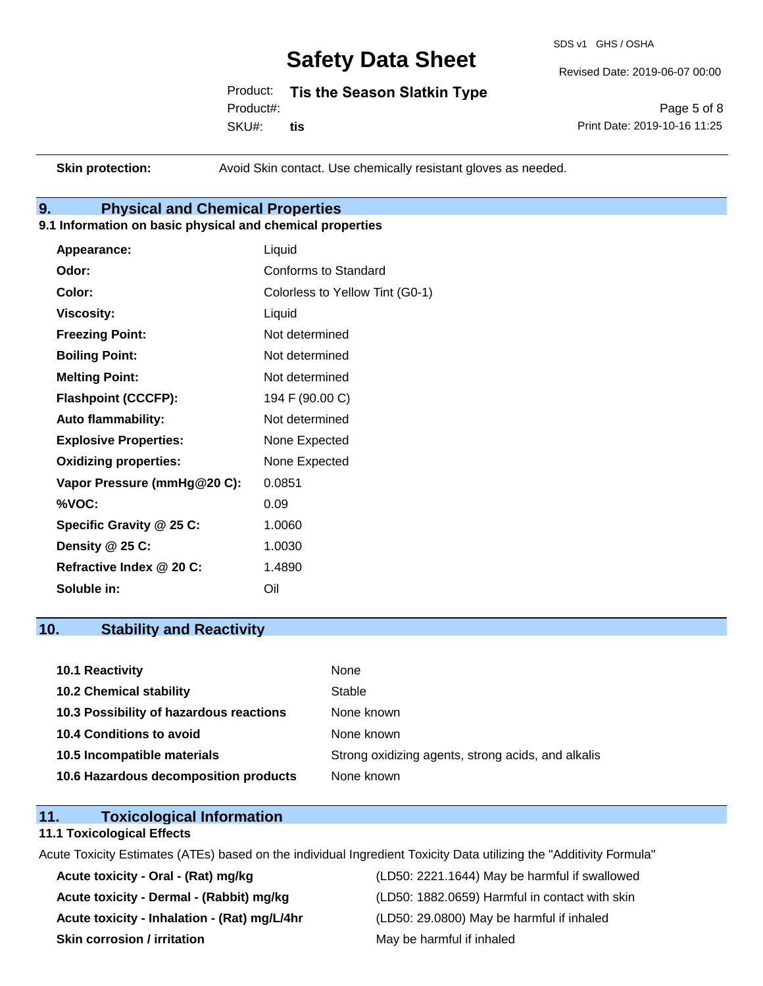SDS v1 GHS / OSHA

Revised Date: 2019-06-07 00:00

Product: **Tis the Season Slatkin Type** Product#:

SKU#: **tis**

Page 5 of 8 Print Date: 2019-10-16 11:25

**Skin protection:** Avoid Skin contact. Use chemically resistant gloves as needed.

### **9. Physical and Chemical Properties**

#### **9.1 Information on basic physical and chemical properties**

| Appearance:                  | Liquid                          |
|------------------------------|---------------------------------|
| Odor:                        | Conforms to Standard            |
| Color:                       | Colorless to Yellow Tint (G0-1) |
| <b>Viscosity:</b>            | Liquid                          |
| <b>Freezing Point:</b>       | Not determined                  |
| <b>Boiling Point:</b>        | Not determined                  |
| <b>Melting Point:</b>        | Not determined                  |
| <b>Flashpoint (CCCFP):</b>   | 194 F (90.00 C)                 |
| <b>Auto flammability:</b>    | Not determined                  |
| <b>Explosive Properties:</b> | None Expected                   |
| <b>Oxidizing properties:</b> | None Expected                   |
| Vapor Pressure (mmHg@20 C):  | 0.0851                          |
| %VOC:                        | 0.09                            |
| Specific Gravity @ 25 C:     | 1.0060                          |
| Density @ 25 C:              | 1.0030                          |
| Refractive Index @ 20 C:     | 1.4890                          |
| Soluble in:                  | Oil                             |

### **10. Stability and Reactivity**

| 10.1 Reactivity                         | None                                               |
|-----------------------------------------|----------------------------------------------------|
| <b>10.2 Chemical stability</b>          | Stable                                             |
| 10.3 Possibility of hazardous reactions | None known                                         |
| 10.4 Conditions to avoid                | None known                                         |
| 10.5 Incompatible materials             | Strong oxidizing agents, strong acids, and alkalis |
| 10.6 Hazardous decomposition products   | None known                                         |

### **11. Toxicological Information**

#### **11.1 Toxicological Effects**

Acute Toxicity Estimates (ATEs) based on the individual Ingredient Toxicity Data utilizing the "Additivity Formula"

**Acute toxicity - Inhalation - (Rat) mg/L/4hr** (LD50: 29.0800) May be harmful if inhaled **Skin corrosion / irritation** May be harmful if inhaled

**Acute toxicity - Oral - (Rat) mg/kg** (LD50: 2221.1644) May be harmful if swallowed **Acute toxicity - Dermal - (Rabbit) mg/kg** (LD50: 1882.0659) Harmful in contact with skin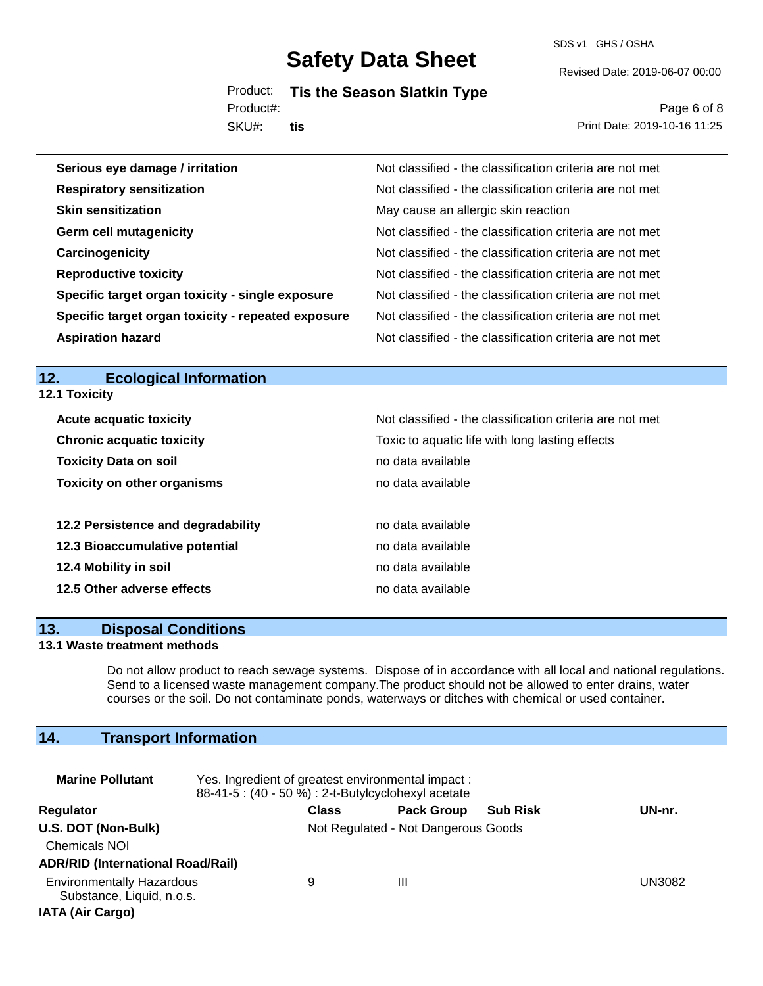SDS v1 GHS / OSHA

Revised Date: 2019-06-07 00:00

Product: **Tis the Season Slatkin Type** Product#:

SKU#: **tis**

Page 6 of 8 Print Date: 2019-10-16 11:25

| Serious eye damage / irritation                    | Not classified - the classification criteria are not met |
|----------------------------------------------------|----------------------------------------------------------|
| <b>Respiratory sensitization</b>                   | Not classified - the classification criteria are not met |
| <b>Skin sensitization</b>                          | May cause an allergic skin reaction                      |
| <b>Germ cell mutagenicity</b>                      | Not classified - the classification criteria are not met |
| Carcinogenicity                                    | Not classified - the classification criteria are not met |
| <b>Reproductive toxicity</b>                       | Not classified - the classification criteria are not met |
| Specific target organ toxicity - single exposure   | Not classified - the classification criteria are not met |
| Specific target organ toxicity - repeated exposure | Not classified - the classification criteria are not met |
| <b>Aspiration hazard</b>                           | Not classified - the classification criteria are not met |

## **12. Ecological Information**

**12.1 Toxicity**

| <b>Acute acquatic toxicity</b>     | Not classified - the classification criteria are not met |
|------------------------------------|----------------------------------------------------------|
| <b>Chronic acquatic toxicity</b>   | Toxic to aquatic life with long lasting effects          |
| <b>Toxicity Data on soil</b>       | no data available                                        |
| <b>Toxicity on other organisms</b> | no data available                                        |
|                                    |                                                          |
| 12.2 Persistence and degradability | no data available                                        |
| 12.3 Bioaccumulative potential     | no data available                                        |
| 12.4 Mobility in soil              | no data available                                        |
| 12.5 Other adverse effects         | no data available                                        |

#### **13. Disposal Conditions**

#### **13.1 Waste treatment methods**

Do not allow product to reach sewage systems. Dispose of in accordance with all local and national regulations. Send to a licensed waste management company.The product should not be allowed to enter drains, water courses or the soil. Do not contaminate ponds, waterways or ditches with chemical or used container.

## **14. Transport Information**

| <b>Marine Pollutant</b>                                                                  | Yes. Ingredient of greatest environmental impact:<br>88-41-5 : (40 - 50 %) : 2-t-Butylcyclohexyl acetate |              |                                     |                 |        |
|------------------------------------------------------------------------------------------|----------------------------------------------------------------------------------------------------------|--------------|-------------------------------------|-----------------|--------|
| <b>Regulator</b>                                                                         |                                                                                                          | <b>Class</b> | <b>Pack Group</b>                   | <b>Sub Risk</b> | UN-nr. |
| U.S. DOT (Non-Bulk)<br><b>Chemicals NOI</b><br><b>ADR/RID (International Road/Rail)</b>  |                                                                                                          |              | Not Regulated - Not Dangerous Goods |                 |        |
| <b>Environmentally Hazardous</b><br>Substance, Liquid, n.o.s.<br><b>IATA (Air Cargo)</b> |                                                                                                          | 9            | Ш                                   |                 | UN3082 |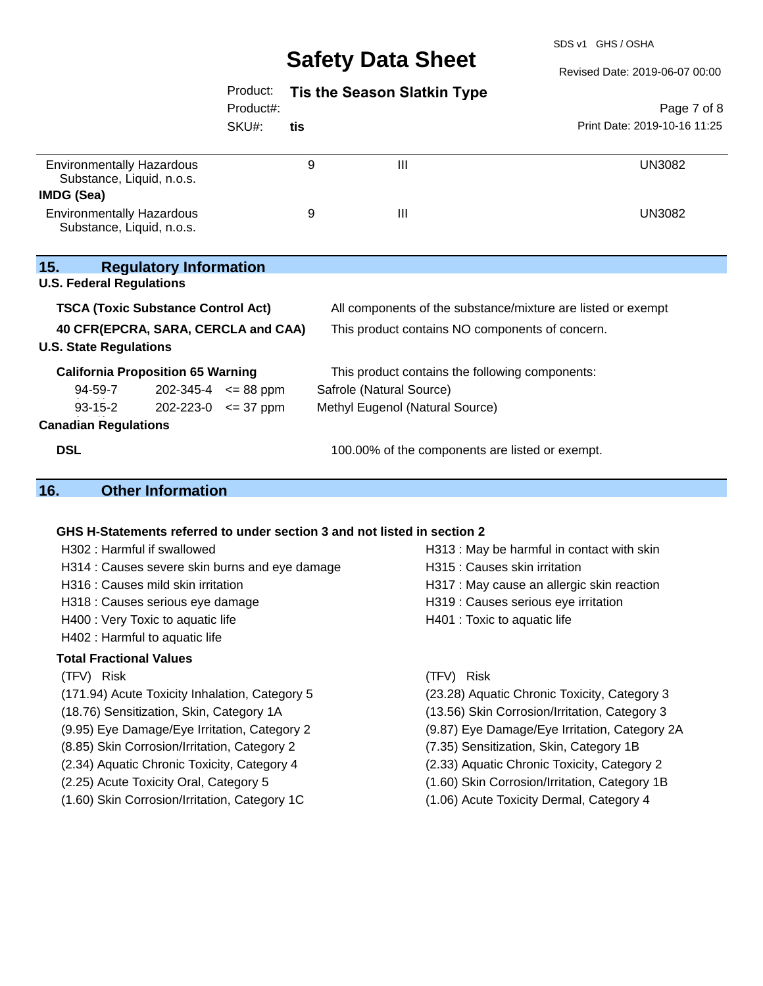SDS v1 GHS / OSHA

 $T<sub>1</sub>$  $8819.99.97.99.99$ 

|                                                               |                             |     |                                                                          | Revised Date: 2019-06-07 00:00                |
|---------------------------------------------------------------|-----------------------------|-----|--------------------------------------------------------------------------|-----------------------------------------------|
|                                                               | Product:                    |     | <b>Tis the Season Slatkin Type</b>                                       |                                               |
|                                                               | Product#:                   |     |                                                                          | Page 7 of 8                                   |
|                                                               | SKU#:                       | tis |                                                                          | Print Date: 2019-10-16 11:25                  |
|                                                               |                             |     |                                                                          |                                               |
| <b>Environmentally Hazardous</b><br>Substance, Liquid, n.o.s. |                             | 9   | $\mathbf{III}$                                                           | <b>UN3082</b>                                 |
| <b>IMDG (Sea)</b>                                             |                             |     |                                                                          |                                               |
| <b>Environmentally Hazardous</b><br>Substance, Liquid, n.o.s. |                             | 9   | $\mathbf{III}$                                                           | <b>UN3082</b>                                 |
| 15.<br><b>Regulatory Information</b>                          |                             |     |                                                                          |                                               |
| <b>U.S. Federal Regulations</b>                               |                             |     |                                                                          |                                               |
| <b>TSCA (Toxic Substance Control Act)</b>                     |                             |     | All components of the substance/mixture are listed or exempt             |                                               |
| 40 CFR(EPCRA, SARA, CERCLA and CAA)                           |                             |     | This product contains NO components of concern.                          |                                               |
| <b>U.S. State Regulations</b>                                 |                             |     |                                                                          |                                               |
| <b>California Proposition 65 Warning</b>                      |                             |     | This product contains the following components:                          |                                               |
| 94-59-7                                                       | $202 - 345 - 4 \le 88$ ppm  |     | Safrole (Natural Source)                                                 |                                               |
| $93 - 15 - 2$                                                 | $202 - 223 - 0 \leq 37$ ppm |     | Methyl Eugenol (Natural Source)                                          |                                               |
| <b>Canadian Regulations</b>                                   |                             |     |                                                                          |                                               |
| <b>DSL</b>                                                    |                             |     | 100.00% of the components are listed or exempt.                          |                                               |
|                                                               |                             |     |                                                                          |                                               |
| 16.<br><b>Other Information</b>                               |                             |     |                                                                          |                                               |
|                                                               |                             |     |                                                                          |                                               |
|                                                               |                             |     | GHS H-Statements referred to under section 3 and not listed in section 2 |                                               |
| H302: Harmful if swallowed                                    |                             |     |                                                                          | H313 : May be harmful in contact with skin    |
| H314 : Causes severe skin burns and eye damage                |                             |     | H315 : Causes skin irritation                                            |                                               |
| H316 : Causes mild skin irritation                            |                             |     |                                                                          | H317 : May cause an allergic skin reaction    |
| H318 : Causes serious eye damage                              |                             |     |                                                                          | H319 : Causes serious eye irritation          |
| H400 : Very Toxic to aquatic life                             |                             |     | H401 : Toxic to aquatic life                                             |                                               |
| H402 : Harmful to aquatic life                                |                             |     |                                                                          |                                               |
| <b>Total Fractional Values</b>                                |                             |     |                                                                          |                                               |
| (TFV) Risk                                                    |                             |     | (TFV) Risk                                                               |                                               |
| (171.94) Acute Toxicity Inhalation, Category 5                |                             |     |                                                                          | (23.28) Aquatic Chronic Toxicity, Category 3  |
| (18.76) Sensitization, Skin, Category 1A                      |                             |     |                                                                          | (13.56) Skin Corrosion/Irritation, Category 3 |
| (9.95) Eye Damage/Eye Irritation, Category 2                  |                             |     |                                                                          | (9.87) Eye Damage/Eye Irritation, Category 2A |

- (8.85) Skin Corrosion/Irritation, Category 2 (7.35) Sensitization, Skin, Category 1B
- (2.34) Aquatic Chronic Toxicity, Category 4 (2.33) Aquatic Chronic Toxicity, Category 2
- (2.25) Acute Toxicity Oral, Category 5 (1.60) Skin Corrosion/Irritation, Category 1B
- (1.60) Skin Corrosion/Irritation, Category 1C (1.06) Acute Toxicity Dermal, Category 4